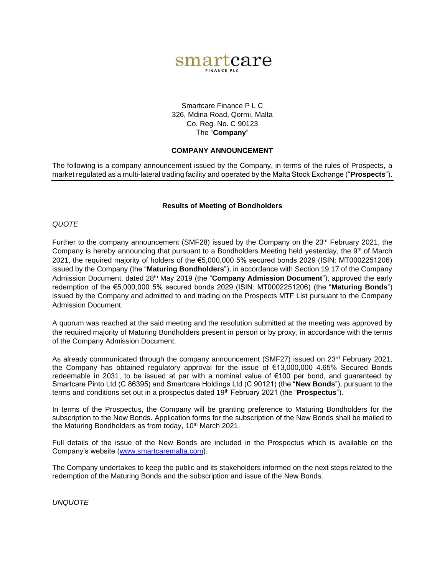

## Smartcare Finance P L C 326, Mdina Road, Qormi, Malta Co. Reg. No. C 90123 The "**Company**"

## **COMPANY ANNOUNCEMENT**

The following is a company announcement issued by the Company, in terms of the rules of Prospects, a market regulated as a multi-lateral trading facility and operated by the Malta Stock Exchange ("**Prospects**").

#### **Results of Meeting of Bondholders**

## *QUOTE*

Further to the company announcement (SMF28) issued by the Company on the  $23<sup>rd</sup>$  February 2021, the Company is hereby announcing that pursuant to a Bondholders Meeting held yesterday, the 9<sup>th</sup> of March 2021, the required majority of holders of the €5,000,000 5% secured bonds 2029 (ISIN: MT0002251206) issued by the Company (the "**Maturing Bondholders**"), in accordance with Section 19.17 of the Company Admission Document, dated 28th May 2019 (the "**Company Admission Document**"), approved the early redemption of the €5,000,000 5% secured bonds 2029 (ISIN: MT0002251206) (the "**Maturing Bonds**") issued by the Company and admitted to and trading on the Prospects MTF List pursuant to the Company Admission Document.

A quorum was reached at the said meeting and the resolution submitted at the meeting was approved by the required majority of Maturing Bondholders present in person or by proxy, in accordance with the terms of the Company Admission Document.

As already communicated through the company announcement (SMF27) issued on 23<sup>rd</sup> February 2021, the Company has obtained regulatory approval for the issue of €13,000,000 4.65% Secured Bonds redeemable in 2031, to be issued at par with a nominal value of €100 per bond, and guaranteed by Smartcare Pinto Ltd (C 86395) and Smartcare Holdings Ltd (C 90121) (the "**New Bonds**"), pursuant to the terms and conditions set out in a prospectus dated 19th February 2021 (the "**Prospectus**").

In terms of the Prospectus, the Company will be granting preference to Maturing Bondholders for the subscription to the New Bonds. Application forms for the subscription of the New Bonds shall be mailed to the Maturing Bondholders as from today, 10<sup>th</sup> March 2021.

Full details of the issue of the New Bonds are included in the Prospectus which is available on the Company's website ([www.smartcaremalta.com\)](http://www.smartcaremalta.com/).

The Company undertakes to keep the public and its stakeholders informed on the next steps related to the redemption of the Maturing Bonds and the subscription and issue of the New Bonds.

*UNQUOTE*